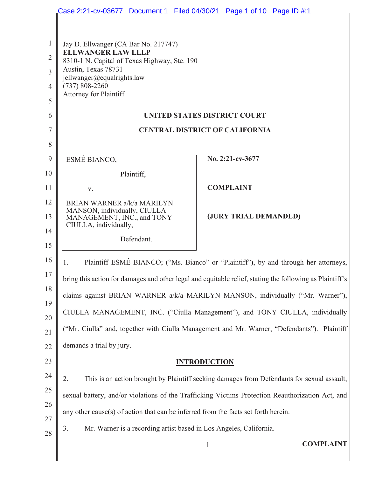|                                | Case 2:21-cv-03677 Document 1 Filed 04/30/21 Page 1 of 10 Page ID $\#$ :1                                |                                                                              |  |
|--------------------------------|----------------------------------------------------------------------------------------------------------|------------------------------------------------------------------------------|--|
| $\mathbf{1}$<br>$\overline{2}$ | Jay D. Ellwanger (CA Bar No. 217747)<br><b>ELLWANGER LAW LLLP</b>                                        |                                                                              |  |
| 3                              | 8310-1 N. Capital of Texas Highway, Ste. 190<br>Austin, Texas 78731                                      |                                                                              |  |
| $\overline{4}$                 | jellwanger@equalrights.law<br>$(737) 808 - 2260$                                                         |                                                                              |  |
| 5                              | <b>Attorney for Plaintiff</b>                                                                            |                                                                              |  |
| 6                              | UNITED STATES DISTRICT COURT                                                                             |                                                                              |  |
| 7                              | <b>CENTRAL DISTRICT OF CALIFORNIA</b>                                                                    |                                                                              |  |
| 8                              |                                                                                                          |                                                                              |  |
| 9                              | ESMÉ BIANCO,                                                                                             | No. 2:21-cv-3677                                                             |  |
| 10                             | Plaintiff,                                                                                               |                                                                              |  |
| 11                             | V.                                                                                                       | <b>COMPLAINT</b>                                                             |  |
| 12                             | BRIAN WARNER a/k/a MARILYN<br>MANSON, individually, CIULLA                                               |                                                                              |  |
| 13                             | MANAGEMENT, INC., and TONY<br>CIULLA, individually,                                                      | (JURY TRIAL DEMANDED)                                                        |  |
| 14                             | Defendant.                                                                                               |                                                                              |  |
| 15                             |                                                                                                          |                                                                              |  |
| 16<br>17                       | Plaintiff ESMÉ BIANCO; ("Ms. Bianco" or "Plaintiff"), by and through her attorneys,<br>1.                |                                                                              |  |
| 18                             | bring this action for damages and other legal and equitable relief, stating the following as Plaintiff's |                                                                              |  |
| 19                             | claims against BRIAN WARNER a/k/a MARILYN MANSON, individually ("Mr. Warner"),                           |                                                                              |  |
| 20                             |                                                                                                          | CIULLA MANAGEMENT, INC. ("Ciulla Management"), and TONY CIULLA, individually |  |
| 21                             | ("Mr. Ciulla" and, together with Ciulla Management and Mr. Warner, "Defendants"). Plaintiff              |                                                                              |  |
| 22                             | demands a trial by jury.                                                                                 |                                                                              |  |
| 23                             | <b>INTRODUCTION</b>                                                                                      |                                                                              |  |
| 24                             | This is an action brought by Plaintiff seeking damages from Defendants for sexual assault,<br>2.         |                                                                              |  |
| 25                             | sexual battery, and/or violations of the Trafficking Victims Protection Reauthorization Act, and         |                                                                              |  |
| 26                             | any other cause(s) of action that can be inferred from the facts set forth herein.                       |                                                                              |  |
| 27                             | Mr. Warner is a recording artist based in Los Angeles, California.<br>3.                                 |                                                                              |  |
| 28                             |                                                                                                          | <b>COMPLAINT</b>                                                             |  |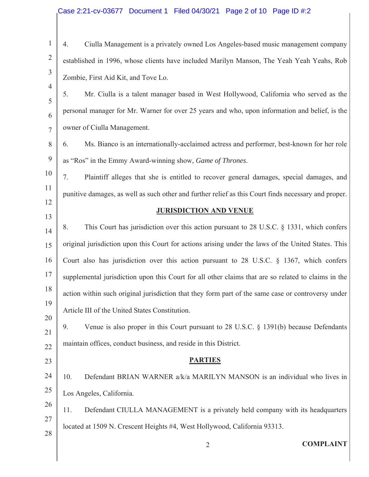## Case 2:21-cv-03677 Document 1 Filed 04/30/21 Page 2 of 10 Page ID #:2

| $\mathbf{1}$   | Ciulla Management is a privately owned Los Angeles-based music management company<br>4.              |
|----------------|------------------------------------------------------------------------------------------------------|
| $\overline{2}$ | established in 1996, whose clients have included Marilyn Manson, The Yeah Yeah Yeahs, Rob            |
| 3              | Zombie, First Aid Kit, and Tove Lo.                                                                  |
| 4              | Mr. Ciulla is a talent manager based in West Hollywood, California who served as the<br>5.           |
| 5<br>6         | personal manager for Mr. Warner for over 25 years and who, upon information and belief, is the       |
| 7              | owner of Ciulla Management.                                                                          |
| 8              | Ms. Bianco is an internationally-acclaimed actress and performer, best-known for her role<br>6.      |
| 9              | as "Ros" in the Emmy Award-winning show, Game of Thrones.                                            |
| 10             | 7.<br>Plaintiff alleges that she is entitled to recover general damages, special damages, and        |
| 11             | punitive damages, as well as such other and further relief as this Court finds necessary and proper. |
| 12             | <b>JURISDICTION AND VENUE</b>                                                                        |
| 13             |                                                                                                      |
| 14             | This Court has jurisdiction over this action pursuant to 28 U.S.C. § 1331, which confers<br>8.       |
| 15             | original jurisdiction upon this Court for actions arising under the laws of the United States. This  |
| 16             | Court also has jurisdiction over this action pursuant to 28 U.S.C. $\S$ 1367, which confers          |
| 17             | supplemental jurisdiction upon this Court for all other claims that are so related to claims in the  |
| 18             | action within such original jurisdiction that they form part of the same case or controversy under   |
| 19             | Article III of the United States Constitution.                                                       |
| 20             | Venue is also proper in this Court pursuant to 28 U.S.C. § 1391(b) because Defendants<br>9.          |
| 21             | maintain offices, conduct business, and reside in this District.                                     |
| 22             |                                                                                                      |
| 23             | <b>PARTIES</b>                                                                                       |
| 24             | Defendant BRIAN WARNER a/k/a MARILYN MANSON is an individual who lives in<br>10.                     |
| 25             | Los Angeles, California.                                                                             |
| 26             | Defendant CIULLA MANAGEMENT is a privately held company with its headquarters<br>11.                 |
| 27             | located at 1509 N. Crescent Heights #4, West Hollywood, California 93313.                            |
| 28             |                                                                                                      |
|                | <b>COMPLAINT</b><br>2                                                                                |

║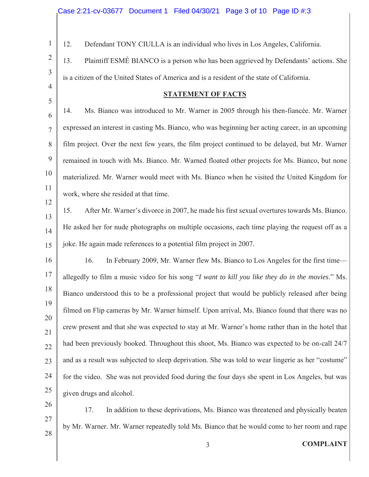1 2 3 4 5 6 7 8 9 10 11 12 13 14 15 16 17 18 19 20 21 22 23 24 25 26 12. Defendant TONY CIULLA is an individual who lives in Los Angeles, California. 13. Plaintiff ESMÉ BIANCO is a person who has been aggrieved by Defendants' actions. She is a citizen of the United States of America and is a resident of the state of California. **STATEMENT OF FACTS**  14. Ms. Bianco was introduced to Mr. Warner in 2005 through his then-fiancée. Mr. Warner expressed an interest in casting Ms. Bianco, who was beginning her acting career, in an upcoming film project. Over the next few years, the film project continued to be delayed, but Mr. Warner remained in touch with Ms. Bianco. Mr. Warned floated other projects for Ms. Bianco, but none materialized. Mr. Warner would meet with Ms. Bianco when he visited the United Kingdom for work, where she resided at that time. 15. After Mr. Warner's divorce in 2007, he made his first sexual overtures towards Ms. Bianco. He asked her for nude photographs on multiple occasions, each time playing the request off as a joke. He again made references to a potential film project in 2007. 16. In February 2009, Mr. Warner flew Ms. Bianco to Los Angeles for the first time allegedly to film a music video for his song "*I want to kill you like they do in the movies*." Ms. Bianco understood this to be a professional project that would be publicly released after being filmed on Flip cameras by Mr. Warner himself. Upon arrival, Ms. Bianco found that there was no crew present and that she was expected to stay at Mr. Warner's home rather than in the hotel that had been previously booked. Throughout this shoot, Ms. Bianco was expected to be on-call 24/7 and as a result was subjected to sleep deprivation. She was told to wear lingerie as her "costume" for the video. She was not provided food during the four days she spent in Los Angeles, but was given drugs and alcohol. 17. In addition to these deprivations, Ms. Bianco was threatened and physically beaten

27 28

by Mr. Warner. Mr. Warner repeatedly told Ms. Bianco that he would come to her room and rape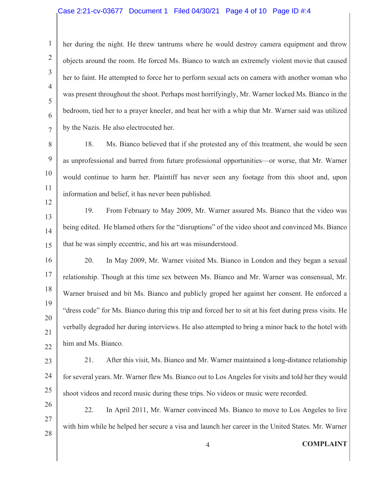## Case 2:21-cv-03677 Document 1 Filed 04/30/21 Page 4 of 10 Page ID #:4

her during the night. He threw tantrums where he would destroy camera equipment and throw objects around the room. He forced Ms. Bianco to watch an extremely violent movie that caused her to faint. He attempted to force her to perform sexual acts on camera with another woman who was present throughout the shoot. Perhaps most horrifyingly, Mr. Warner locked Ms. Bianco in the bedroom, tied her to a prayer kneeler, and beat her with a whip that Mr. Warner said was utilized by the Nazis. He also electrocuted her.

8 9 10 11 18. Ms. Bianco believed that if she protested any of this treatment, she would be seen as unprofessional and barred from future professional opportunities—or worse, that Mr. Warner would continue to harm her. Plaintiff has never seen any footage from this shoot and, upon information and belief, it has never been published.

12

1

2

3

4

5

6

7

13 14 15 19. From February to May 2009, Mr. Warner assured Ms. Bianco that the video was being edited. He blamed others for the "disruptions" of the video shoot and convinced Ms. Bianco that he was simply eccentric, and his art was misunderstood.

16 17 18 19 20 21 22 20. In May 2009, Mr. Warner visited Ms. Bianco in London and they began a sexual relationship. Though at this time sex between Ms. Bianco and Mr. Warner was consensual, Mr. Warner bruised and bit Ms. Bianco and publicly groped her against her consent. He enforced a "dress code" for Ms. Bianco during this trip and forced her to sit at his feet during press visits. He verbally degraded her during interviews. He also attempted to bring a minor back to the hotel with him and Ms. Bianco.

23 24 25 21. After this visit, Ms. Bianco and Mr. Warner maintained a long-distance relationship for several years. Mr. Warner flew Ms. Bianco out to Los Angeles for visits and told her they would shoot videos and record music during these trips. No videos or music were recorded.

26 27 28 22. In April 2011, Mr. Warner convinced Ms. Bianco to move to Los Angeles to live with him while he helped her secure a visa and launch her career in the United States. Mr. Warner

4 **COMPLAINT**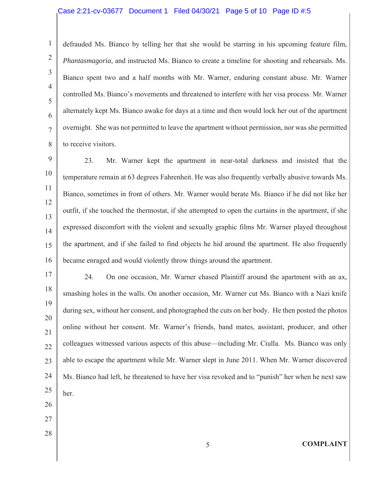## Case 2:21-cv-03677 Document 1 Filed 04/30/21 Page 5 of 10 Page ID #:5

defrauded Ms. Bianco by telling her that she would be starring in his upcoming feature film, *Phantasmagoria*, and instructed Ms. Bianco to create a timeline for shooting and rehearsals. Ms. Bianco spent two and a half months with Mr. Warner, enduring constant abuse. Mr. Warner controlled Ms. Bianco's movements and threatened to interfere with her visa process. Mr. Warner alternately kept Ms. Bianco awake for days at a time and then would lock her out of the apartment overnight. She was not permitted to leave the apartment without permission, nor was she permitted to receive visitors.

9 10 11 12 13 14 15 16 23. Mr. Warner kept the apartment in near-total darkness and insisted that the temperature remain at 63 degrees Fahrenheit. He was also frequently verbally abusive towards Ms. Bianco, sometimes in front of others. Mr. Warner would berate Ms. Bianco if he did not like her outfit, if she touched the thermostat, if she attempted to open the curtains in the apartment, if she expressed discomfort with the violent and sexually graphic films Mr. Warner played throughout the apartment, and if she failed to find objects he hid around the apartment. He also frequently became enraged and would violently throw things around the apartment.

17 18 19 20 21 22 23 24 25 26 24. On one occasion, Mr. Warner chased Plaintiff around the apartment with an ax, smashing holes in the walls. On another occasion, Mr. Warner cut Ms. Bianco with a Nazi knife during sex, without her consent, and photographed the cuts on her body. He then posted the photos online without her consent. Mr. Warner's friends, band mates, assistant, producer, and other colleagues witnessed various aspects of this abuse—including Mr. Ciulla. Ms. Bianco was only able to escape the apartment while Mr. Warner slept in June 2011. When Mr. Warner discovered Ms. Bianco had left, he threatened to have her visa revoked and to "punish" her when he next saw her.

1

2

3

4

5

6

7

8

27 28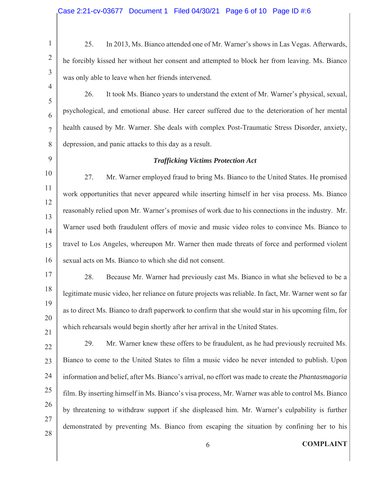1 2 3 4 5 6 7 8 9 10 11 12 13 14 15 16 17 18 19 20 21 22 23 24 25 26 27 28 25. In 2013, Ms. Bianco attended one of Mr. Warner's shows in Las Vegas. Afterwards, he forcibly kissed her without her consent and attempted to block her from leaving. Ms. Bianco was only able to leave when her friends intervened. 26. It took Ms. Bianco years to understand the extent of Mr. Warner's physical, sexual, psychological, and emotional abuse. Her career suffered due to the deterioration of her mental health caused by Mr. Warner. She deals with complex Post-Traumatic Stress Disorder, anxiety, depression, and panic attacks to this day as a result. *Trafficking Victims Protection Act*  27. Mr. Warner employed fraud to bring Ms. Bianco to the United States. He promised work opportunities that never appeared while inserting himself in her visa process. Ms. Bianco reasonably relied upon Mr. Warner's promises of work due to his connections in the industry. Mr. Warner used both fraudulent offers of movie and music video roles to convince Ms. Bianco to travel to Los Angeles, whereupon Mr. Warner then made threats of force and performed violent sexual acts on Ms. Bianco to which she did not consent. 28. Because Mr. Warner had previously cast Ms. Bianco in what she believed to be a legitimate music video, her reliance on future projects was reliable. In fact, Mr. Warner went so far as to direct Ms. Bianco to draft paperwork to confirm that she would star in his upcoming film, for which rehearsals would begin shortly after her arrival in the United States. 29. Mr. Warner knew these offers to be fraudulent, as he had previously recruited Ms. Bianco to come to the United States to film a music video he never intended to publish. Upon information and belief, after Ms. Bianco's arrival, no effort was made to create the *Phantasmagoria* film. By inserting himself in Ms. Bianco's visa process, Mr. Warner was able to control Ms. Bianco by threatening to withdraw support if she displeased him. Mr. Warner's culpability is further demonstrated by preventing Ms. Bianco from escaping the situation by confining her to his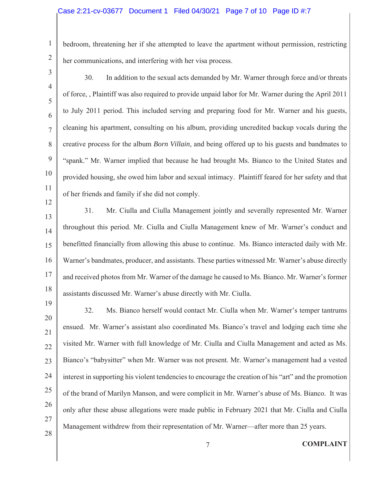bedroom, threatening her if she attempted to leave the apartment without permission, restricting her communications, and interfering with her visa process.

3 4

5

6

7

8

9

10

11

1

2

30. In addition to the sexual acts demanded by Mr. Warner through force and/or threats of force, , Plaintiff was also required to provide unpaid labor for Mr. Warner during the April 2011 to July 2011 period. This included serving and preparing food for Mr. Warner and his guests, cleaning his apartment, consulting on his album, providing uncredited backup vocals during the creative process for the album *Born Villain*, and being offered up to his guests and bandmates to "spank." Mr. Warner implied that because he had brought Ms. Bianco to the United States and provided housing, she owed him labor and sexual intimacy. Plaintiff feared for her safety and that of her friends and family if she did not comply.

12

13

14 15 16 17 18 31. Mr. Ciulla and Ciulla Management jointly and severally represented Mr. Warner throughout this period. Mr. Ciulla and Ciulla Management knew of Mr. Warner's conduct and benefitted financially from allowing this abuse to continue. Ms. Bianco interacted daily with Mr. Warner's bandmates, producer, and assistants. These parties witnessed Mr. Warner's abuse directly and received photos from Mr. Warner of the damage he caused to Ms. Bianco. Mr. Warner's former assistants discussed Mr. Warner's abuse directly with Mr. Ciulla.

19 20 21 22 23 24 25 26 27 32. Ms. Bianco herself would contact Mr. Ciulla when Mr. Warner's temper tantrums ensued. Mr. Warner's assistant also coordinated Ms. Bianco's travel and lodging each time she visited Mr. Warner with full knowledge of Mr. Ciulla and Ciulla Management and acted as Ms. Bianco's "babysitter" when Mr. Warner was not present. Mr. Warner's management had a vested interest in supporting his violent tendencies to encourage the creation of his "art" and the promotion of the brand of Marilyn Manson, and were complicit in Mr. Warner's abuse of Ms. Bianco. It was only after these abuse allegations were made public in February 2021 that Mr. Ciulla and Ciulla Management withdrew from their representation of Mr. Warner—after more than 25 years.

28

7 **COMPLAINT**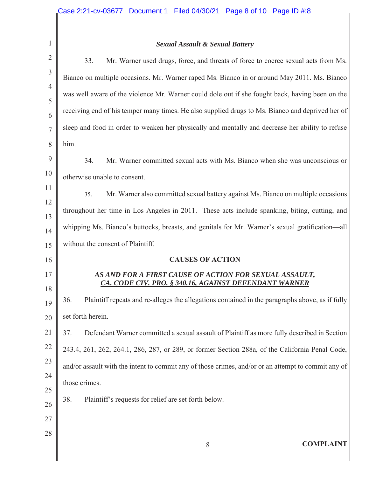1

 $\mathsf{I}$ 

## *Sexual Assault & Sexual Battery*

| $\overline{2}$ | 33.<br>Mr. Warner used drugs, force, and threats of force to coerce sexual acts from Ms.               |
|----------------|--------------------------------------------------------------------------------------------------------|
| 3              | Bianco on multiple occasions. Mr. Warner raped Ms. Bianco in or around May 2011. Ms. Bianco            |
| 4              | was well aware of the violence Mr. Warner could dole out if she fought back, having been on the        |
| 5<br>6         | receiving end of his temper many times. He also supplied drugs to Ms. Bianco and deprived her of       |
| $\overline{7}$ | sleep and food in order to weaken her physically and mentally and decrease her ability to refuse       |
| 8              | him.                                                                                                   |
| 9              | 34.<br>Mr. Warner committed sexual acts with Ms. Bianco when she was unconscious or                    |
| 10             | otherwise unable to consent.                                                                           |
| 11             | Mr. Warner also committed sexual battery against Ms. Bianco on multiple occasions<br>35.               |
| 12             | throughout her time in Los Angeles in 2011. These acts include spanking, biting, cutting, and          |
| 13             | whipping Ms. Bianco's buttocks, breasts, and genitals for Mr. Warner's sexual gratification—all        |
| 14<br>15       | without the consent of Plaintiff.                                                                      |
| 16             | <b>CAUSES OF ACTION</b>                                                                                |
| 17             | AS AND FOR A FIRST CAUSE OF ACTION FOR SEXUAL ASSAULT,                                                 |
| 18             | CA. CODE CIV. PRO. § 340.16, AGAINST DEFENDANT WARNER                                                  |
| 19             | Plaintiff repeats and re-alleges the allegations contained in the paragraphs above, as if fully<br>36. |
| 20             | set forth herein.                                                                                      |
| 21             | 37.<br>Defendant Warner committed a sexual assault of Plaintiff as more fully described in Section     |
| 22             | 243.4, 261, 262, 264.1, 286, 287, or 289, or former Section 288a, of the California Penal Code,        |
| 23             | and/or assault with the intent to commit any of those crimes, and/or or an attempt to commit any of    |
| 24             | those crimes.                                                                                          |
| 25             | Plaintiff's requests for relief are set forth below.<br>38.                                            |
| 26<br>27       |                                                                                                        |
|                |                                                                                                        |
| 28             |                                                                                                        |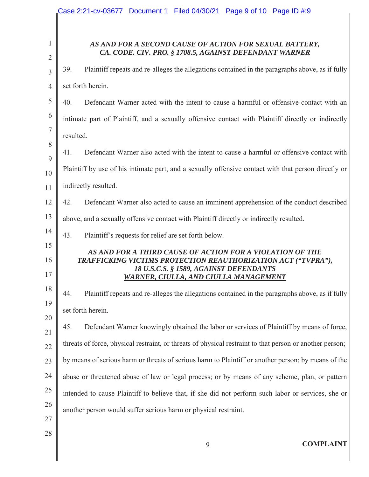|                     | Case 2:21-cv-03677 Document 1 Filed 04/30/21 Page 9 of 10 Page ID #:9                                                                                                                                                |
|---------------------|----------------------------------------------------------------------------------------------------------------------------------------------------------------------------------------------------------------------|
| $\mathbf{1}$        | AS AND FOR A SECOND CAUSE OF ACTION FOR SEXUAL BATTERY,<br>CA. CODE. CIV. PRO. § 1708.5, AGAINST DEFENDANT WARNER                                                                                                    |
| $\overline{2}$<br>3 | Plaintiff repeats and re-alleges the allegations contained in the paragraphs above, as if fully<br>39.                                                                                                               |
| $\overline{4}$      | set forth herein.                                                                                                                                                                                                    |
| 5                   | Defendant Warner acted with the intent to cause a harmful or offensive contact with an<br>40.                                                                                                                        |
| 6                   | intimate part of Plaintiff, and a sexually offensive contact with Plaintiff directly or indirectly                                                                                                                   |
| $\tau$              |                                                                                                                                                                                                                      |
| 8                   | resulted.                                                                                                                                                                                                            |
| 9                   | Defendant Warner also acted with the intent to cause a harmful or offensive contact with<br>41.                                                                                                                      |
| 10                  | Plaintiff by use of his intimate part, and a sexually offensive contact with that person directly or                                                                                                                 |
| 11                  | indirectly resulted.                                                                                                                                                                                                 |
| 12                  | Defendant Warner also acted to cause an imminent apprehension of the conduct described<br>42.                                                                                                                        |
| 13                  | above, and a sexually offensive contact with Plaintiff directly or indirectly resulted.                                                                                                                              |
| 14                  | 43.<br>Plaintiff's requests for relief are set forth below.                                                                                                                                                          |
| 15<br>16<br>17      | AS AND FOR A THIRD CAUSE OF ACTION FOR A VIOLATION OF THE<br>TRAFFICKING VICTIMS PROTECTION REAUTHORIZATION ACT ("TVPRA"),<br>18 U.S.C.S. § 1589, AGAINST DEFENDANTS<br><b>WARNER, CIULLA, AND CIULLA MANAGEMENT</b> |
| 18                  | Plaintiff repeats and re-alleges the allegations contained in the paragraphs above, as if fully<br>44.                                                                                                               |
| 19                  | set forth herein.                                                                                                                                                                                                    |
| 20<br>21            | Defendant Warner knowingly obtained the labor or services of Plaintiff by means of force,<br>45.                                                                                                                     |
| 22                  | threats of force, physical restraint, or threats of physical restraint to that person or another person;                                                                                                             |
| 23                  | by means of serious harm or threats of serious harm to Plaintiff or another person; by means of the                                                                                                                  |
| 24                  | abuse or threatened abuse of law or legal process; or by means of any scheme, plan, or pattern                                                                                                                       |
| 25                  | intended to cause Plaintiff to believe that, if she did not perform such labor or services, she or                                                                                                                   |
| 26                  | another person would suffer serious harm or physical restraint.                                                                                                                                                      |
|                     |                                                                                                                                                                                                                      |
| 27                  |                                                                                                                                                                                                                      |